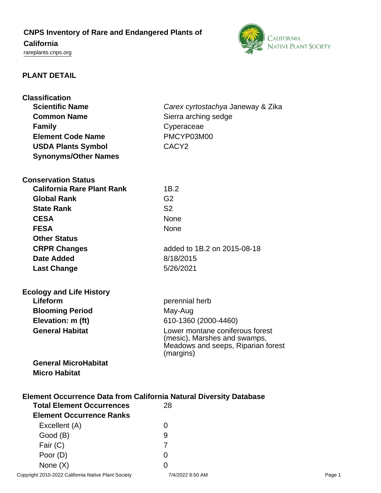# **CNPS Inventory of Rare and Endangered Plants of**

## **California**

<rareplants.cnps.org>



## **PLANT DETAIL**

| <b>Classification</b><br><b>Scientific Name</b><br><b>Common Name</b><br><b>Family</b><br><b>Element Code Name</b>  | Carex cyrtostachya Janeway & Zika<br>Sierra arching sedge<br>Cyperaceae<br>PMCYP03M00 |
|---------------------------------------------------------------------------------------------------------------------|---------------------------------------------------------------------------------------|
| <b>USDA Plants Symbol</b><br><b>Synonyms/Other Names</b>                                                            | CACY <sub>2</sub>                                                                     |
|                                                                                                                     |                                                                                       |
| <b>Conservation Status</b>                                                                                          |                                                                                       |
| <b>California Rare Plant Rank</b>                                                                                   | 1B.2                                                                                  |
| <b>Global Rank</b>                                                                                                  | G <sub>2</sub>                                                                        |
| <b>State Rank</b>                                                                                                   | S <sub>2</sub>                                                                        |
| <b>CESA</b>                                                                                                         | <b>None</b>                                                                           |
| <b>FESA</b>                                                                                                         | <b>None</b>                                                                           |
| <b>Other Status</b>                                                                                                 |                                                                                       |
| <b>CRPR Changes</b>                                                                                                 | added to 1B.2 on 2015-08-18                                                           |
| <b>Date Added</b>                                                                                                   | 8/18/2015                                                                             |
| <b>Last Change</b>                                                                                                  | 5/26/2021                                                                             |
|                                                                                                                     |                                                                                       |
| <b>Ecology and Life History</b><br>Lifeform                                                                         |                                                                                       |
|                                                                                                                     | perennial herb                                                                        |
| <b>Blooming Period</b><br>Elevation: m (ft)                                                                         | May-Aug                                                                               |
| <b>General Habitat</b>                                                                                              | 610-1360 (2000-4460)<br>Lower montane coniferous forest                               |
|                                                                                                                     | (mesic), Marshes and swamps,<br>Meadows and seeps, Riparian forest<br>(margins)       |
| <b>General MicroHabitat</b>                                                                                         |                                                                                       |
| <b>Micro Habitat</b>                                                                                                |                                                                                       |
| <b>Element Occurrence Data from California Natural Diversity Database</b><br><b>Total Element Occurrences</b><br>28 |                                                                                       |
| <b>Element Occurrence Ranks</b>                                                                                     |                                                                                       |
| Excellent (A)                                                                                                       | 0                                                                                     |
| Good (B)                                                                                                            | 9                                                                                     |
| Fair $(C)$                                                                                                          | $\overline{7}$                                                                        |
| Poor (D)                                                                                                            | 0                                                                                     |

None  $(X)$  0